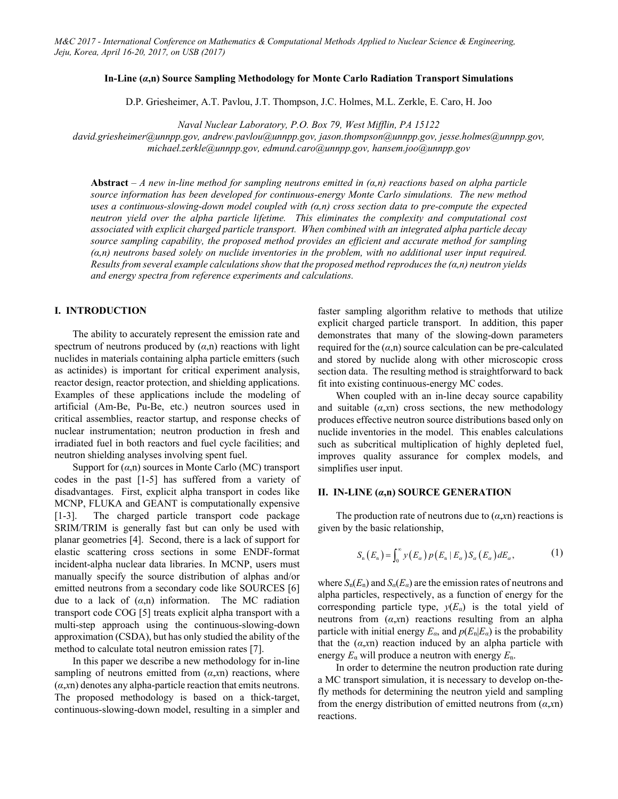## **In-Line (***α***,n) Source Sampling Methodology for Monte Carlo Radiation Transport Simulations**

D.P. Griesheimer, A.T. Pavlou, J.T. Thompson, J.C. Holmes, M.L. Zerkle, E. Caro, H. Joo

*Naval Nuclear Laboratory, P.O. Box 79, West Mifflin, PA 15122* 

*david.griesheimer@unnpp.gov, andrew.pavlou@unnpp.gov, jason.thompson@unnpp.gov, jesse.holmes@unnpp.gov, michael.zerkle@unnpp.gov, edmund.caro@unnpp.gov, hansem.joo@unnpp.gov* 

**Abstract** *– A new in-line method for sampling neutrons emitted in (α,n) reactions based on alpha particle source information has been developed for continuous-energy Monte Carlo simulations. The new method uses a continuous-slowing-down model coupled with (α,n) cross section data to pre-compute the expected neutron yield over the alpha particle lifetime. This eliminates the complexity and computational cost associated with explicit charged particle transport. When combined with an integrated alpha particle decay source sampling capability, the proposed method provides an efficient and accurate method for sampling (α,n) neutrons based solely on nuclide inventories in the problem, with no additional user input required. Results from several example calculations show that the proposed method reproduces the (α,n) neutron yields and energy spectra from reference experiments and calculations.* 

# **I. INTRODUCTION**

The ability to accurately represent the emission rate and spectrum of neutrons produced by  $(a,n)$  reactions with light nuclides in materials containing alpha particle emitters (such as actinides) is important for critical experiment analysis, reactor design, reactor protection, and shielding applications. Examples of these applications include the modeling of artificial (Am-Be, Pu-Be, etc.) neutron sources used in critical assemblies, reactor startup, and response checks of nuclear instrumentation; neutron production in fresh and irradiated fuel in both reactors and fuel cycle facilities; and neutron shielding analyses involving spent fuel.

Support for (*α*,n) sources in Monte Carlo (MC) transport codes in the past [1-5] has suffered from a variety of disadvantages. First, explicit alpha transport in codes like MCNP, FLUKA and GEANT is computationally expensive [1-3]. The charged particle transport code package SRIM/TRIM is generally fast but can only be used with planar geometries [4]. Second, there is a lack of support for elastic scattering cross sections in some ENDF-format incident-alpha nuclear data libraries. In MCNP, users must manually specify the source distribution of alphas and/or emitted neutrons from a secondary code like SOURCES [6] due to a lack of  $(\alpha, n)$  information. The MC radiation transport code COG [5] treats explicit alpha transport with a multi-step approach using the continuous-slowing-down approximation (CSDA), but has only studied the ability of the method to calculate total neutron emission rates [7].

In this paper we describe a new methodology for in-line sampling of neutrons emitted from  $(a, xn)$  reactions, where (*α*,*x*n) denotes any alpha-particle reaction that emits neutrons. The proposed methodology is based on a thick-target, continuous-slowing-down model, resulting in a simpler and faster sampling algorithm relative to methods that utilize explicit charged particle transport. In addition, this paper demonstrates that many of the slowing-down parameters required for the  $(a, n)$  source calculation can be pre-calculated and stored by nuclide along with other microscopic cross section data. The resulting method is straightforward to back fit into existing continuous-energy MC codes.

When coupled with an in-line decay source capability and suitable  $(a, xn)$  cross sections, the new methodology produces effective neutron source distributions based only on nuclide inventories in the model. This enables calculations such as subcritical multiplication of highly depleted fuel, improves quality assurance for complex models, and simplifies user input.

#### **II. IN-LINE (***α***,n) SOURCE GENERATION**

The production rate of neutrons due to  $(a, xn)$  reactions is given by the basic relationship,

$$
S_n(E_n) = \int_0^\infty y(E_\alpha) p(E_n | E_\alpha) S_\alpha(E_\alpha) dE_\alpha, \qquad (1)
$$

where  $S_n(E_n)$  and  $S_\alpha(E_\alpha)$  are the emission rates of neutrons and alpha particles, respectively, as a function of energy for the corresponding particle type,  $y(E_a)$  is the total yield of neutrons from (*α*,*x*n) reactions resulting from an alpha particle with initial energy  $E_\alpha$ , and  $p(E_n|E_\alpha)$  is the probability that the (*α*,*x*n) reaction induced by an alpha particle with energy  $E_a$  will produce a neutron with energy  $E_a$ .

In order to determine the neutron production rate during a MC transport simulation, it is necessary to develop on-thefly methods for determining the neutron yield and sampling from the energy distribution of emitted neutrons from (*α*,*x*n) reactions.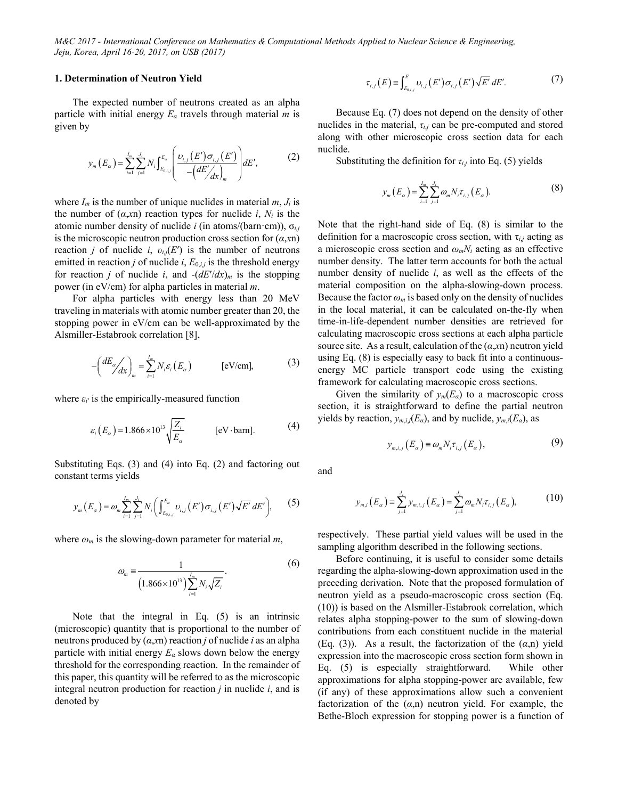## **1. Determination of Neutron Yield**

The expected number of neutrons created as an alpha particle with initial energy *Eα* travels through material *m* is given by

$$
y_{m}(E_{\alpha}) = \sum_{i=1}^{I_{m}} \sum_{j=1}^{J_{i}} N_{i} \int_{E_{0,i,j}}^{E_{\alpha}} \left( \frac{\nu_{i,j}(E') \sigma_{i,j}(E')}{-\left(dE'/\frac{dE'}{dx}\right)_{m}} \right) dE', \tag{2}
$$

where  $I_m$  is the number of unique nuclides in material  $m, J_i$  is the number of  $(a, xn)$  reaction types for nuclide *i*,  $N_i$  is the atomic number density of nuclide *i* (in atoms/(barn·cm)), σ*i,j* is the microscopic neutron production cross section for (*α*,*x*n) reaction *j* of nuclide *i*,  $v_{i,j}(E')$  is the number of neutrons emitted in reaction *j* of nuclide *i*,  $E_{0,i,j}$  is the threshold energy for reaction *j* of nuclide *i*, and  $-(dE'/dx)_{m}$  is the stopping power (in eV/cm) for alpha particles in material *m*.

For alpha particles with energy less than 20 MeV traveling in materials with atomic number greater than 20, the stopping power in eV/cm can be well-approximated by the Alsmiller-Estabrook correlation [8],

$$
-\left(\frac{dE_{\alpha}}{dx}\right)_{m} = \sum_{i=1}^{I_{m}} N_{i} \varepsilon_{i} (E_{\alpha}) \qquad \text{[eV/cm]},
$$
 (3)

where  $\varepsilon_i$ <sup>*'*</sup> is the empirically-measured function

$$
\varepsilon_i(E_\alpha) = 1.866 \times 10^{13} \sqrt{\frac{Z_i}{E_\alpha}} \qquad \text{[eV-barn]}.
$$
 (4)

Substituting Eqs. (3) and (4) into Eq. (2) and factoring out constant terms yields

$$
y_{m}(E_{\alpha}) = \omega_{m} \sum_{i=1}^{I_{m}} \sum_{j=1}^{J_{i}} N_{i} \left( \int_{E_{0,i,j}}^{E_{\alpha}} \nu_{i,j}(E') \sigma_{i,j}(E') \sqrt{E'} \, dE' \right), \tag{5}
$$

where  $\omega_m$  is the slowing-down parameter for material  $m$ ,

$$
\omega_m = \frac{1}{\left(1.866 \times 10^{13}\right) \sum_{i=1}^{I_m} N_i \sqrt{Z_i}}.
$$
\n(6)

Note that the integral in Eq. (5) is an intrinsic (microscopic) quantity that is proportional to the number of neutrons produced by (*α*,*x*n) reaction *j* of nuclide *i* as an alpha particle with initial energy *Eα* slows down below the energy threshold for the corresponding reaction. In the remainder of this paper, this quantity will be referred to as the microscopic integral neutron production for reaction *j* in nuclide *i*, and is denoted by

$$
\tau_{i,j}(E) \equiv \int_{E_{0,i,j}}^{E} \upsilon_{i,j}(E') \sigma_{i,j}(E') \sqrt{E'} \, dE'. \tag{7}
$$

Because Eq. (7) does not depend on the density of other nuclides in the material,  $\tau_{i,j}$  can be pre-computed and stored along with other microscopic cross section data for each nuclide.

Substituting the definition for  $\tau_{i,j}$  into Eq. (5) yields

$$
y_m(E_{\alpha}) = \sum_{i=1}^{I_m} \sum_{j=1}^{J_i} \omega_m N_i \tau_{i,j} (E_{\alpha}).
$$
 (8)

Note that the right-hand side of Eq. (8) is similar to the definition for a macroscopic cross section, with τ*i*,*j* acting as a microscopic cross section and *ωmNi* acting as an effective number density. The latter term accounts for both the actual number density of nuclide *i*, as well as the effects of the material composition on the alpha-slowing-down process. Because the factor  $\omega_m$  is based only on the density of nuclides in the local material, it can be calculated on-the-fly when time-in-life-dependent number densities are retrieved for calculating macroscopic cross sections at each alpha particle source site. As a result, calculation of the (*α*,*x*n) neutron yield using Eq. (8) is especially easy to back fit into a continuousenergy MC particle transport code using the existing framework for calculating macroscopic cross sections.

Given the similarity of  $y_m(E_\alpha)$  to a macroscopic cross section, it is straightforward to define the partial neutron yields by reaction,  $y_{m,i,j}(E_\alpha)$ , and by nuclide,  $y_{m,i}(E_\alpha)$ , as

$$
y_{m,i,j}(E_{\alpha}) \equiv \omega_m N_i \tau_{i,j}(E_{\alpha}), \tag{9}
$$

and

$$
y_{m,i}(E_{\alpha}) = \sum_{j=1}^{J_i} y_{m,i,j}(E_{\alpha}) = \sum_{j=1}^{J_i} \omega_m N_i \tau_{i,j}(E_{\alpha}), \qquad (10)
$$

respectively. These partial yield values will be used in the sampling algorithm described in the following sections.

Before continuing, it is useful to consider some details regarding the alpha-slowing-down approximation used in the preceding derivation. Note that the proposed formulation of neutron yield as a pseudo-macroscopic cross section (Eq. (10)) is based on the Alsmiller-Estabrook correlation, which relates alpha stopping-power to the sum of slowing-down contributions from each constituent nuclide in the material (Eq. (3)). As a result, the factorization of the (*α*,n) yield expression into the macroscopic cross section form shown in Eq. (5) is especially straightforward. While other approximations for alpha stopping-power are available, few (if any) of these approximations allow such a convenient factorization of the (*α*,n) neutron yield. For example, the Bethe-Bloch expression for stopping power is a function of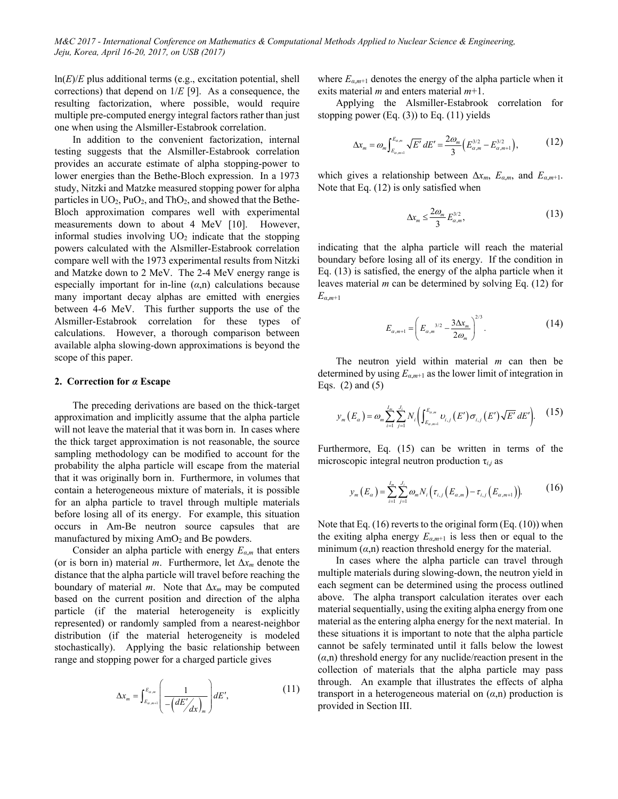ln(*E*)/*E* plus additional terms (e.g., excitation potential, shell corrections) that depend on 1/*E* [9]. As a consequence, the resulting factorization, where possible, would require multiple pre-computed energy integral factors rather than just one when using the Alsmiller-Estabrook correlation.

In addition to the convenient factorization, internal testing suggests that the Alsmiller-Estabrook correlation provides an accurate estimate of alpha stopping-power to lower energies than the Bethe-Bloch expression. In a 1973 study, Nitzki and Matzke measured stopping power for alpha particles in  $UO_2$ ,  $PuO_2$ , and  $ThO_2$ , and showed that the Bethe-Bloch approximation compares well with experimental measurements down to about 4 MeV [10]. However, informal studies involving  $UO<sub>2</sub>$  indicate that the stopping powers calculated with the Alsmiller-Estabrook correlation compare well with the 1973 experimental results from Nitzki and Matzke down to 2 MeV. The 2-4 MeV energy range is especially important for in-line  $(\alpha, n)$  calculations because many important decay alphas are emitted with energies between 4-6 MeV. This further supports the use of the Alsmiller-Estabrook correlation for these types of calculations. However, a thorough comparison between available alpha slowing-down approximations is beyond the scope of this paper.

## **2. Correction for** *α* **Escape**

The preceding derivations are based on the thick-target approximation and implicitly assume that the alpha particle will not leave the material that it was born in. In cases where the thick target approximation is not reasonable, the source sampling methodology can be modified to account for the probability the alpha particle will escape from the material that it was originally born in. Furthermore, in volumes that contain a heterogeneous mixture of materials, it is possible for an alpha particle to travel through multiple materials before losing all of its energy. For example, this situation occurs in Am-Be neutron source capsules that are manufactured by mixing  $AmO<sub>2</sub>$  and Be powders.

Consider an alpha particle with energy *Eα*,*m* that enters (or is born in) material *m*. Furthermore, let Δ*xm* denote the distance that the alpha particle will travel before reaching the boundary of material *m*. Note that Δ*xm* may be computed based on the current position and direction of the alpha particle (if the material heterogeneity is explicitly represented) or randomly sampled from a nearest-neighbor distribution (if the material heterogeneity is modeled stochastically). Applying the basic relationship between range and stopping power for a charged particle gives

$$
\Delta x_{m} = \int_{E_{\alpha,m+1}}^{E_{\alpha,m}} \left( \frac{1}{-\left(dE'/_{dx}\right)_{m}} \right) dE', \tag{11}
$$

where  $E_{\alpha,m+1}$  denotes the energy of the alpha particle when it exits material *m* and enters material *m*+1.

Applying the Alsmiller-Estabrook correlation for stopping power  $(Eq. (3))$  to Eq.  $(11)$  yields

$$
\Delta x_m = \omega_m \int_{E_{\alpha,m+1}}^{E_{\alpha,m}} \sqrt{E'} \, dE' = \frac{2\omega_m}{3} \Big( E_{\alpha,m}^{3/2} - E_{\alpha,m+1}^{3/2} \Big), \tag{12}
$$

which gives a relationship between  $\Delta x_m$ ,  $E_{\alpha,m}$ , and  $E_{\alpha,m+1}$ . Note that Eq. (12) is only satisfied when

$$
\Delta x_m \le \frac{2\omega_m}{3} E_{\alpha,m}^{3/2},\tag{13}
$$

indicating that the alpha particle will reach the material boundary before losing all of its energy. If the condition in Eq. (13) is satisfied, the energy of the alpha particle when it leaves material *m* can be determined by solving Eq. (12) for *Eα*,*m*+1

$$
E_{\alpha,m+1} = \left(E_{\alpha,m}^{3/2} - \frac{3\Delta x_m}{2\omega_m}\right)^{2/3}.
$$
 (14)

The neutron yield within material *m* can then be determined by using *Eα*,*m*+1 as the lower limit of integration in Eqs. (2) and (5)

$$
y_{m}(E_{\alpha}) = \omega_{m} \sum_{i=1}^{I_{m}} \sum_{j=1}^{J_{i}} N_{i} \left( \int_{E_{\alpha,m+1}}^{E_{\alpha,m}} \nu_{i,j}(E') \sigma_{i,j}(E') \sqrt{E'} \, dE' \right). \tag{15}
$$

Furthermore, Eq. (15) can be written in terms of the microscopic integral neutron production τ*i*,*j* as

$$
y_m(E_{\alpha}) = \sum_{i=1}^{I_m} \sum_{j=1}^{J_i} \omega_m N_i \Big( \tau_{i,j} \Big( E_{\alpha,m} \Big) - \tau_{i,j} \Big( E_{\alpha,m+1} \Big) \Big). \tag{16}
$$

Note that Eq. (16) reverts to the original form (Eq. (10)) when the exiting alpha energy  $E_{\alpha,m+1}$  is less then or equal to the minimum  $(a,n)$  reaction threshold energy for the material.

In cases where the alpha particle can travel through multiple materials during slowing-down, the neutron yield in each segment can be determined using the process outlined above. The alpha transport calculation iterates over each material sequentially, using the exiting alpha energy from one material as the entering alpha energy for the next material. In these situations it is important to note that the alpha particle cannot be safely terminated until it falls below the lowest  $(\alpha, n)$  threshold energy for any nuclide/reaction present in the collection of materials that the alpha particle may pass through. An example that illustrates the effects of alpha transport in a heterogeneous material on  $(a,n)$  production is provided in Section III.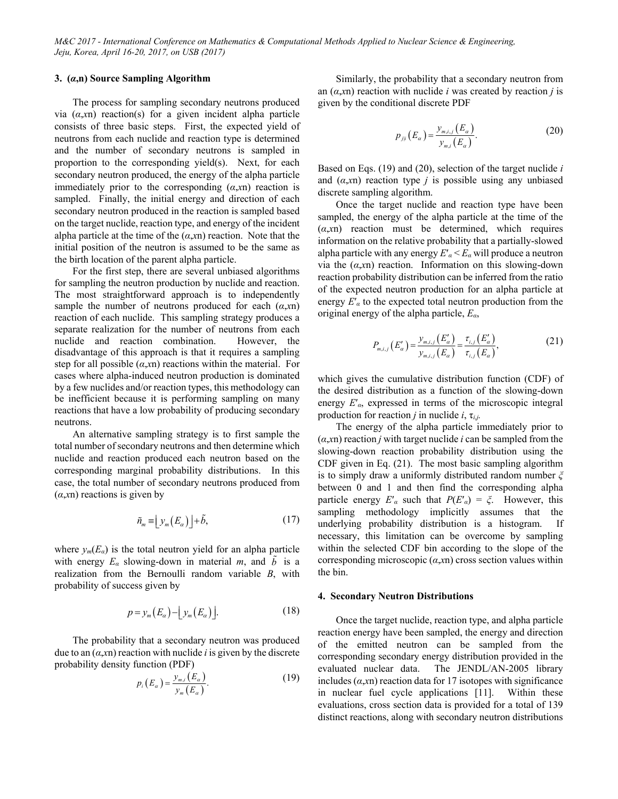## **3. (***α***,n) Source Sampling Algorithm**

The process for sampling secondary neutrons produced via  $(a, x)$  reaction(s) for a given incident alpha particle consists of three basic steps. First, the expected yield of neutrons from each nuclide and reaction type is determined and the number of secondary neutrons is sampled in proportion to the corresponding yield(s). Next, for each secondary neutron produced, the energy of the alpha particle immediately prior to the corresponding  $(a, xn)$  reaction is sampled. Finally, the initial energy and direction of each secondary neutron produced in the reaction is sampled based on the target nuclide, reaction type, and energy of the incident alpha particle at the time of the  $(a, xn)$  reaction. Note that the initial position of the neutron is assumed to be the same as the birth location of the parent alpha particle.

For the first step, there are several unbiased algorithms for sampling the neutron production by nuclide and reaction. The most straightforward approach is to independently sample the number of neutrons produced for each (*α*,*x*n) reaction of each nuclide. This sampling strategy produces a separate realization for the number of neutrons from each nuclide and reaction combination. However, the disadvantage of this approach is that it requires a sampling step for all possible  $(a, xn)$  reactions within the material. For cases where alpha-induced neutron production is dominated by a few nuclides and/or reaction types, this methodology can be inefficient because it is performing sampling on many reactions that have a low probability of producing secondary neutrons.

An alternative sampling strategy is to first sample the total number of secondary neutrons and then determine which nuclide and reaction produced each neutron based on the corresponding marginal probability distributions. In this case, the total number of secondary neutrons produced from (*α*,*x*n) reactions is given by

$$
\tilde{n}_m \equiv \left[ y_m(E_\alpha) \right] + \tilde{b},\tag{17}
$$

where  $y_m(E_a)$  is the total neutron yield for an alpha particle with energy  $E_a$  slowing-down in material *m*, and  $\tilde{b}$  is a realization from the Bernoulli random variable *B*, with probability of success given by

$$
p = y_m(E_\alpha) - \lfloor y_m(E_\alpha) \rfloor. \tag{18}
$$

The probability that a secondary neutron was produced due to an (*α*,*x*n) reaction with nuclide *i* is given by the discrete probability density function (PDF)

$$
p_i(E_\alpha) = \frac{y_{m,i}(E_\alpha)}{y_m(E_\alpha)}.\tag{19}
$$

Similarly, the probability that a secondary neutron from an (*α*,*x*n) reaction with nuclide *i* was created by reaction *j* is given by the conditional discrete PDF

$$
p_{j|i}(E_{\alpha}) = \frac{y_{m,i,j}(E_{\alpha})}{y_{m,i}(E_{\alpha})}.
$$
 (20)

Based on Eqs. (19) and (20), selection of the target nuclide *i* and  $(a, xn)$  reaction type *j* is possible using any unbiased discrete sampling algorithm.

Once the target nuclide and reaction type have been sampled, the energy of the alpha particle at the time of the (*α*,*x*n) reaction must be determined, which requires information on the relative probability that a partially-slowed alpha particle with any energy *E*′*α* < *Eα* will produce a neutron via the (*α*,*x*n) reaction. Information on this slowing-down reaction probability distribution can be inferred from the ratio of the expected neutron production for an alpha particle at energy *E*′*α* to the expected total neutron production from the original energy of the alpha particle, *Eα*,

$$
P_{m,i,j}(E'_{\alpha}) = \frac{y_{m,i,j}(E'_{\alpha})}{y_{m,i,j}(E_{\alpha})} = \frac{\tau_{i,j}(E'_{\alpha})}{\tau_{i,j}(E_{\alpha})},
$$
(21)

which gives the cumulative distribution function (CDF) of the desired distribution as a function of the slowing-down energy *E*′*α*, expressed in terms of the microscopic integral production for reaction *j* in nuclide  $i$ ,  $\tau_{i,j}$ .

The energy of the alpha particle immediately prior to  $(a, xn)$  reaction *j* with target nuclide *i* can be sampled from the slowing-down reaction probability distribution using the CDF given in Eq. (21). The most basic sampling algorithm is to simply draw a uniformly distributed random number *ξ* between 0 and 1 and then find the corresponding alpha particle energy  $E'$ <sup>*a*</sup> such that  $P(E'$ <sup>*a*</sup>) =  $\xi$ . However, this sampling methodology implicitly assumes that the underlying probability distribution is a histogram. If necessary, this limitation can be overcome by sampling within the selected CDF bin according to the slope of the corresponding microscopic (*α*,*x*n) cross section values within the bin.

#### **4. Secondary Neutron Distributions**

Once the target nuclide, reaction type, and alpha particle reaction energy have been sampled, the energy and direction of the emitted neutron can be sampled from the corresponding secondary energy distribution provided in the evaluated nuclear data. The JENDL/AN-2005 library includes  $(a, xn)$  reaction data for 17 isotopes with significance in nuclear fuel cycle applications [11]. Within these evaluations, cross section data is provided for a total of 139 distinct reactions, along with secondary neutron distributions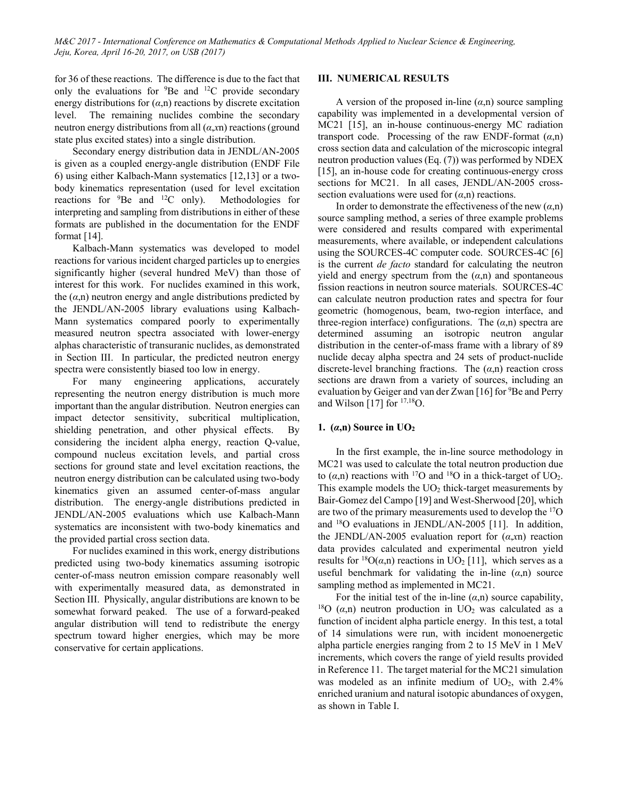for 36 of these reactions. The difference is due to the fact that only the evaluations for  ${}^{9}$ Be and  ${}^{12}$ C provide secondary energy distributions for (*α*,n) reactions by discrete excitation level. The remaining nuclides combine the secondary neutron energy distributions from all (*α*,*x*n) reactions (ground state plus excited states) into a single distribution.

Secondary energy distribution data in JENDL/AN-2005 is given as a coupled energy-angle distribution (ENDF File 6) using either Kalbach-Mann systematics [12,13] or a twobody kinematics representation (used for level excitation reactions for  ${}^{9}$ Be and  ${}^{12}$ C only). Methodologies for interpreting and sampling from distributions in either of these formats are published in the documentation for the ENDF format  $[14]$ .

Kalbach-Mann systematics was developed to model reactions for various incident charged particles up to energies significantly higher (several hundred MeV) than those of interest for this work. For nuclides examined in this work, the  $(\alpha, n)$  neutron energy and angle distributions predicted by the JENDL/AN-2005 library evaluations using Kalbach-Mann systematics compared poorly to experimentally measured neutron spectra associated with lower-energy alphas characteristic of transuranic nuclides, as demonstrated in Section III. In particular, the predicted neutron energy spectra were consistently biased too low in energy.

For many engineering applications, accurately representing the neutron energy distribution is much more important than the angular distribution. Neutron energies can impact detector sensitivity, subcritical multiplication, shielding penetration, and other physical effects. By considering the incident alpha energy, reaction Q-value, compound nucleus excitation levels, and partial cross sections for ground state and level excitation reactions, the neutron energy distribution can be calculated using two-body kinematics given an assumed center-of-mass angular distribution. The energy-angle distributions predicted in JENDL/AN-2005 evaluations which use Kalbach-Mann systematics are inconsistent with two-body kinematics and the provided partial cross section data.

For nuclides examined in this work, energy distributions predicted using two-body kinematics assuming isotropic center-of-mass neutron emission compare reasonably well with experimentally measured data, as demonstrated in Section III. Physically, angular distributions are known to be somewhat forward peaked. The use of a forward-peaked angular distribution will tend to redistribute the energy spectrum toward higher energies, which may be more conservative for certain applications.

# **III. NUMERICAL RESULTS**

A version of the proposed in-line  $(\alpha, n)$  source sampling capability was implemented in a developmental version of MC21 [15], an in-house continuous-energy MC radiation transport code. Processing of the raw ENDF-format (*α*,n) cross section data and calculation of the microscopic integral neutron production values (Eq. (7)) was performed by NDEX [15], an in-house code for creating continuous-energy cross sections for MC21. In all cases, JENDL/AN-2005 crosssection evaluations were used for  $(a,n)$  reactions.

In order to demonstrate the effectiveness of the new  $(\alpha, n)$ source sampling method, a series of three example problems were considered and results compared with experimental measurements, where available, or independent calculations using the SOURCES-4C computer code. SOURCES-4C [6] is the current *de facto* standard for calculating the neutron yield and energy spectrum from the  $(\alpha, n)$  and spontaneous fission reactions in neutron source materials. SOURCES-4C can calculate neutron production rates and spectra for four geometric (homogenous, beam, two-region interface, and three-region interface) configurations. The  $(\alpha, n)$  spectra are determined assuming an isotropic neutron angular distribution in the center-of-mass frame with a library of 89 nuclide decay alpha spectra and 24 sets of product-nuclide discrete-level branching fractions. The (*α*,n) reaction cross sections are drawn from a variety of sources, including an evaluation by Geiger and van der Zwan [16] for <sup>9</sup>Be and Perry and Wilson [17] for  $17,18$ O.

# **1. (***α***,n) Source in UO2**

In the first example, the in-line source methodology in MC21 was used to calculate the total neutron production due to  $(\alpha, n)$  reactions with <sup>17</sup>O and <sup>18</sup>O in a thick-target of UO<sub>2</sub>. This example models the  $UO<sub>2</sub>$  thick-target measurements by Bair-Gomez del Campo [19] and West-Sherwood [20], which are two of the primary measurements used to develop the 17O and 18O evaluations in JENDL/AN-2005 [11]. In addition, the JENDL/AN-2005 evaluation report for (*α*,*x*n) reaction data provides calculated and experimental neutron yield results for <sup>18</sup>O( $\alpha$ ,n) reactions in UO<sub>2</sub> [11], which serves as a useful benchmark for validating the in-line  $(a,n)$  source sampling method as implemented in MC21.

For the initial test of the in-line  $(\alpha, n)$  source capability, <sup>18</sup>O  $(\alpha, n)$  neutron production in UO<sub>2</sub> was calculated as a function of incident alpha particle energy. In this test, a total of 14 simulations were run, with incident monoenergetic alpha particle energies ranging from 2 to 15 MeV in 1 MeV increments, which covers the range of yield results provided in Reference 11. The target material for the MC21 simulation was modeled as an infinite medium of  $UO<sub>2</sub>$ , with 2.4% enriched uranium and natural isotopic abundances of oxygen, as shown in Table I.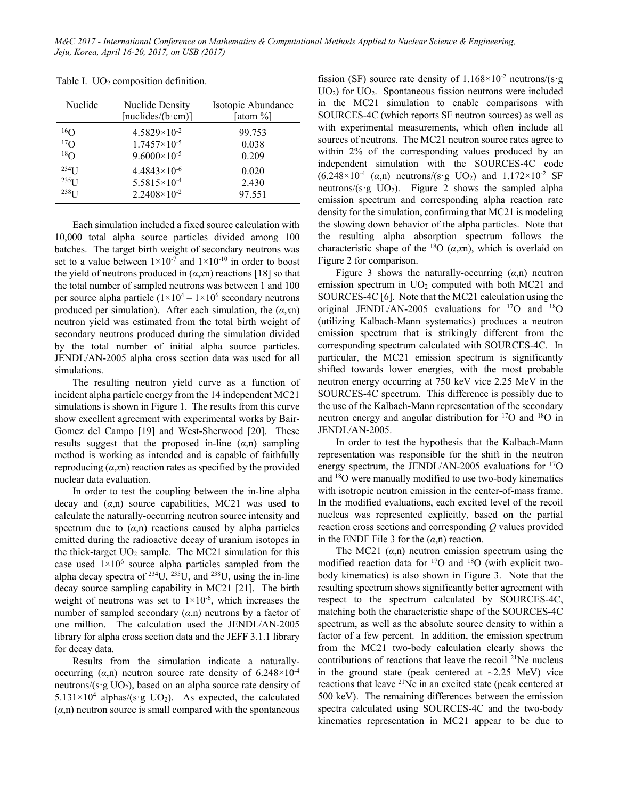| Nuclide              | <b>Nuclide Density</b><br>[nuclides/( $b$ ·cm)] | Isotopic Abundance<br>[atom %] |
|----------------------|-------------------------------------------------|--------------------------------|
| $^{16}$ O            | $4.5829 \times 10^{-2}$                         | 99.753                         |
| 17 <sub>O</sub>      | $1.7457\times10^{-5}$                           | 0.038                          |
| $^{18}$ O            | $9.6000\times10^{-5}$                           | 0.209                          |
| $234$ <sub>I</sub> J | $4.4843\times10^{-6}$                           | 0.020                          |
| $235$ [ J            | $5.5815 \times 10^{-4}$                         | 2.430                          |
| 238 <sub>T</sub>     | $2.2408 \times 10^{-2}$                         | 97.551                         |

Table I.  $UO<sub>2</sub>$  composition definition.

Each simulation included a fixed source calculation with 10,000 total alpha source particles divided among 100 batches. The target birth weight of secondary neutrons was set to a value between  $1 \times 10^{-7}$  and  $1 \times 10^{-10}$  in order to boost the yield of neutrons produced in  $(a, xn)$  reactions [18] so that the total number of sampled neutrons was between 1 and 100 per source alpha particle  $(1\times10^4 - 1\times10^6$  secondary neutrons produced per simulation). After each simulation, the  $(a, xn)$ neutron yield was estimated from the total birth weight of secondary neutrons produced during the simulation divided by the total number of initial alpha source particles. JENDL/AN-2005 alpha cross section data was used for all simulations.

The resulting neutron yield curve as a function of incident alpha particle energy from the 14 independent MC21 simulations is shown in Figure 1. The results from this curve show excellent agreement with experimental works by Bair-Gomez del Campo [19] and West-Sherwood [20]. These results suggest that the proposed in-line  $(\alpha, n)$  sampling method is working as intended and is capable of faithfully reproducing (*α*,*x*n) reaction rates as specified by the provided nuclear data evaluation.

In order to test the coupling between the in-line alpha decay and  $(a,n)$  source capabilities, MC21 was used to calculate the naturally-occurring neutron source intensity and spectrum due to  $(a,n)$  reactions caused by alpha particles emitted during the radioactive decay of uranium isotopes in the thick-target  $UO<sub>2</sub>$  sample. The MC21 simulation for this case used  $1 \times 10^6$  source alpha particles sampled from the alpha decay spectra of  $^{234}U$ ,  $^{235}U$ , and  $^{238}U$ , using the in-line decay source sampling capability in MC21 [21]. The birth weight of neutrons was set to  $1\times10^{-6}$ , which increases the number of sampled secondary  $(a,n)$  neutrons by a factor of one million. The calculation used the JENDL/AN-2005 library for alpha cross section data and the JEFF 3.1.1 library for decay data.

Results from the simulation indicate a naturallyoccurring  $(\alpha, n)$  neutron source rate density of  $6.248 \times 10^{-4}$ neutrons/ $(s \cdot g \text{ UO}_2)$ , based on an alpha source rate density of  $5.131 \times 10^4$  alphas/(s·g UO<sub>2</sub>). As expected, the calculated  $(\alpha, n)$  neutron source is small compared with the spontaneous

fission (SF) source rate density of  $1.168 \times 10^{-2}$  neutrons/(s·g  $UO<sub>2</sub>$ ) for  $UO<sub>2</sub>$ . Spontaneous fission neutrons were included in the MC21 simulation to enable comparisons with SOURCES-4C (which reports SF neutron sources) as well as with experimental measurements, which often include all sources of neutrons. The MC21 neutron source rates agree to within 2% of the corresponding values produced by an independent simulation with the SOURCES-4C code  $(6.248 \times 10^{-4} \text{ (a,n)}$  neutrons/(s·g UO<sub>2</sub>) and  $1.172 \times 10^{-2}$  SF neutrons/ $(s \cdot g \text{ UO}_2)$ . Figure 2 shows the sampled alpha emission spectrum and corresponding alpha reaction rate density for the simulation, confirming that MC21 is modeling the slowing down behavior of the alpha particles. Note that the resulting alpha absorption spectrum follows the characteristic shape of the <sup>18</sup>O ( $\alpha$ ,*x*n), which is overlaid on Figure 2 for comparison.

Figure 3 shows the naturally-occurring  $(\alpha, n)$  neutron emission spectrum in  $UO<sub>2</sub>$  computed with both MC21 and SOURCES-4C [6]. Note that the MC21 calculation using the original JENDL/AN-2005 evaluations for  $^{17}O$  and  $^{18}O$ (utilizing Kalbach-Mann systematics) produces a neutron emission spectrum that is strikingly different from the corresponding spectrum calculated with SOURCES-4C. In particular, the MC21 emission spectrum is significantly shifted towards lower energies, with the most probable neutron energy occurring at 750 keV vice 2.25 MeV in the SOURCES-4C spectrum. This difference is possibly due to the use of the Kalbach-Mann representation of the secondary neutron energy and angular distribution for 17O and 18O in JENDL/AN-2005.

In order to test the hypothesis that the Kalbach-Mann representation was responsible for the shift in the neutron energy spectrum, the JENDL/AN-2005 evaluations for <sup>17</sup>O and 18O were manually modified to use two-body kinematics with isotropic neutron emission in the center-of-mass frame. In the modified evaluations, each excited level of the recoil nucleus was represented explicitly, based on the partial reaction cross sections and corresponding *Q* values provided in the ENDF File 3 for the  $(\alpha, n)$  reaction.

The MC21  $(\alpha, n)$  neutron emission spectrum using the modified reaction data for  $^{17}O$  and  $^{18}O$  (with explicit twobody kinematics) is also shown in Figure 3. Note that the resulting spectrum shows significantly better agreement with respect to the spectrum calculated by SOURCES-4C, matching both the characteristic shape of the SOURCES-4C spectrum, as well as the absolute source density to within a factor of a few percent. In addition, the emission spectrum from the MC21 two-body calculation clearly shows the contributions of reactions that leave the recoil  $21$ Ne nucleus in the ground state (peak centered at  $\sim$ 2.25 MeV) vice reactions that leave  $2^{1}$ Ne in an excited state (peak centered at 500 keV). The remaining differences between the emission spectra calculated using SOURCES-4C and the two-body kinematics representation in MC21 appear to be due to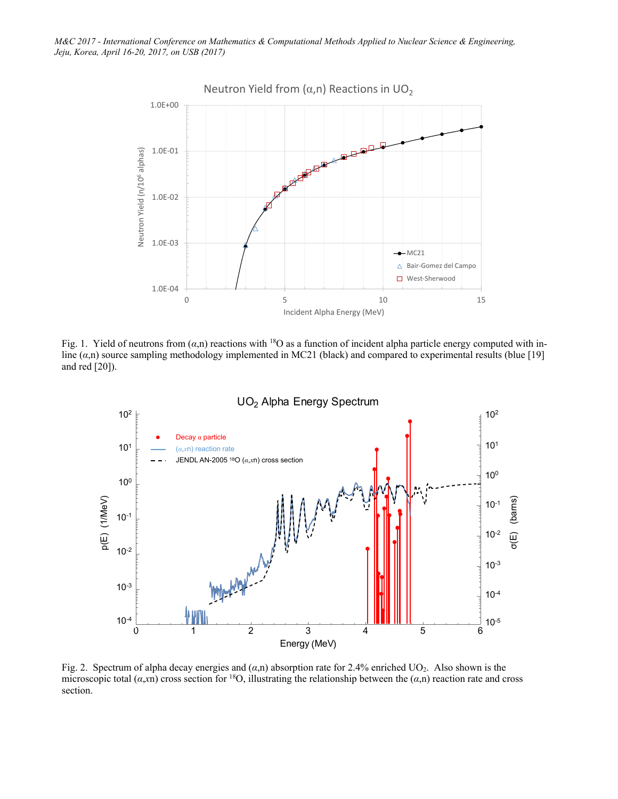

Fig. 1. Yield of neutrons from  $(\alpha, n)$  reactions with <sup>18</sup>O as a function of incident alpha particle energy computed with inline (*α*,n) source sampling methodology implemented in MC21 (black) and compared to experimental results (blue [19] and red [20]).



Fig. 2. Spectrum of alpha decay energies and (*α*,n) absorption rate for 2.4% enriched UO2. Also shown is the microscopic total ( $\alpha$ ,*x*n) cross section for <sup>18</sup>O, illustrating the relationship between the ( $\alpha$ ,n) reaction rate and cross section.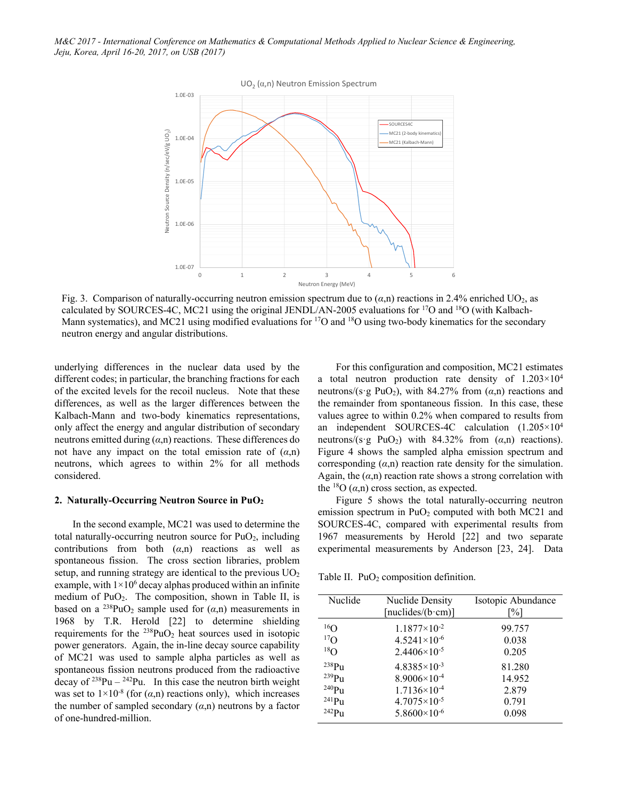

Fig. 3. Comparison of naturally-occurring neutron emission spectrum due to  $(\alpha,n)$  reactions in 2.4% enriched UO<sub>2</sub>, as calculated by SOURCES-4C, MC21 using the original JENDL/AN-2005 evaluations for 17O and 18O (with Kalbach-Mann systematics), and MC21 using modified evaluations for <sup>17</sup>O and <sup>18</sup>O using two-body kinematics for the secondary neutron energy and angular distributions.

underlying differences in the nuclear data used by the different codes; in particular, the branching fractions for each of the excited levels for the recoil nucleus. Note that these differences, as well as the larger differences between the Kalbach-Mann and two-body kinematics representations, only affect the energy and angular distribution of secondary neutrons emitted during (*α*,n) reactions. These differences do not have any impact on the total emission rate of  $(\alpha, n)$ neutrons, which agrees to within 2% for all methods considered.

#### **2. Naturally-Occurring Neutron Source in PuO2**

In the second example, MC21 was used to determine the total naturally-occurring neutron source for  $PuO<sub>2</sub>$ , including contributions from both  $(a,n)$  reactions as well as spontaneous fission. The cross section libraries, problem setup, and running strategy are identical to the previous  $UO<sub>2</sub>$ example, with  $1 \times 10^6$  decay alphas produced within an infinite medium of PuO2. The composition, shown in Table II, is based on a <sup>238</sup>PuO<sub>2</sub> sample used for  $(\alpha, n)$  measurements in 1968 by T.R. Herold [22] to determine shielding requirements for the  $^{238}PuO<sub>2</sub>$  heat sources used in isotopic power generators. Again, the in-line decay source capability of MC21 was used to sample alpha particles as well as spontaneous fission neutrons produced from the radioactive decay of  $238$ Pu –  $242$ Pu. In this case the neutron birth weight was set to  $1\times10^{-8}$  (for  $(\alpha, n)$  reactions only), which increases the number of sampled secondary  $(a,n)$  neutrons by a factor of one-hundred-million.

For this configuration and composition, MC21 estimates a total neutron production rate density of  $1.203 \times 10^4$ neutrons/(s·g PuO<sub>2</sub>), with 84.27% from  $(\alpha, n)$  reactions and the remainder from spontaneous fission. In this case, these values agree to within 0.2% when compared to results from an independent SOURCES-4C calculation (1.205×104 neutrons/(s·g PuO<sub>2</sub>) with 84.32% from  $(\alpha,n)$  reactions). Figure 4 shows the sampled alpha emission spectrum and corresponding  $(a,n)$  reaction rate density for the simulation. Again, the  $(a,n)$  reaction rate shows a strong correlation with the <sup>18</sup>O  $(\alpha, n)$  cross section, as expected.

Figure 5 shows the total naturally-occurring neutron emission spectrum in  $PuO<sub>2</sub>$  computed with both MC21 and SOURCES-4C, compared with experimental results from 1967 measurements by Herold [22] and two separate experimental measurements by Anderson [23, 24]. Data

Table II.  $PuO<sub>2</sub>$  composition definition.

| Nuclide           | <b>Nuclide Density</b>      | Isotopic Abundance |
|-------------------|-----------------------------|--------------------|
|                   |                             |                    |
|                   | [nuclides/ $(b \cdot cm)$ ] | [%]                |
| $^{16}$ O         |                             |                    |
|                   | $1.1877 \times 10^{-2}$     | 99.757             |
| $^{17}$ O         | $4.5241\times10^{-6}$       | 0.038              |
| 18 <sub>O</sub>   | $2.4406 \times 10^{-5}$     | 0.205              |
| $^{238}Pu$        | $4.8385\times10^{-3}$       | 81.280             |
| $239$ Pu          | $8.9006\times10^{-4}$       | 14.952             |
| $240$ Pu          | $1.7136 \times 10^{-4}$     | 2.879              |
| $^{241}Pu$        | $4.7075\times10^{-5}$       | 0.791              |
| 242P <sub>u</sub> | $5.8600\times10^{-6}$       | 0.098              |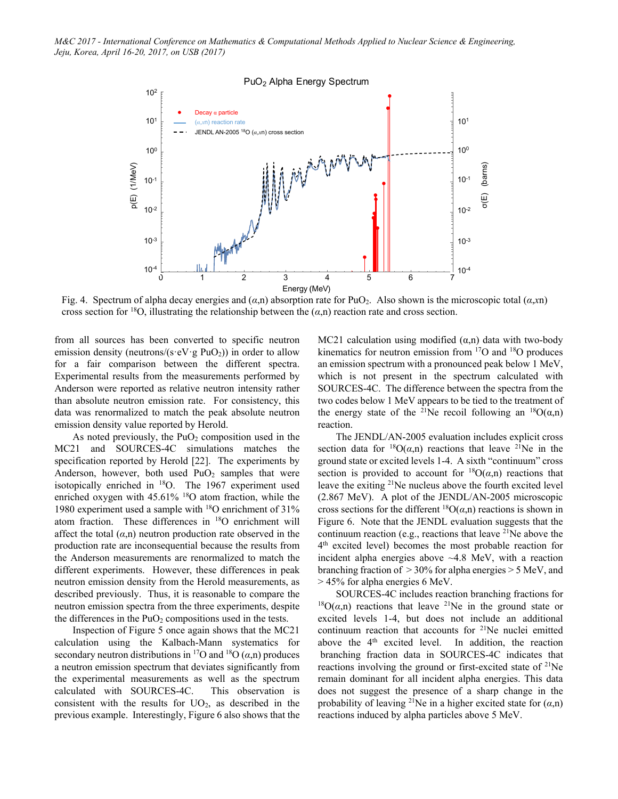

Fig. 4. Spectrum of alpha decay energies and (*α*,n) absorption rate for PuO2. Also shown is the microscopic total (*α*,*x*n) cross section for <sup>18</sup>O, illustrating the relationship between the  $(\alpha, n)$  reaction rate and cross section.

from all sources has been converted to specific neutron emission density (neutrons/( $s \cdot eV \cdot g PuO<sub>2</sub>$ )) in order to allow for a fair comparison between the different spectra. Experimental results from the measurements performed by Anderson were reported as relative neutron intensity rather than absolute neutron emission rate. For consistency, this data was renormalized to match the peak absolute neutron emission density value reported by Herold.

As noted previously, the  $PuO<sub>2</sub>$  composition used in the MC21 and SOURCES-4C simulations matches the specification reported by Herold [22]. The experiments by Anderson, however, both used  $PuO<sub>2</sub>$  samples that were isotopically enriched in 18O. The 1967 experiment used enriched oxygen with 45.61% <sup>18</sup>O atom fraction, while the 1980 experiment used a sample with 18O enrichment of 31% atom fraction. These differences in 18O enrichment will affect the total  $(a,n)$  neutron production rate observed in the production rate are inconsequential because the results from the Anderson measurements are renormalized to match the different experiments. However, these differences in peak neutron emission density from the Herold measurements, as described previously. Thus, it is reasonable to compare the neutron emission spectra from the three experiments, despite the differences in the  $PuO<sub>2</sub>$  compositions used in the tests.

Inspection of Figure 5 once again shows that the MC21 calculation using the Kalbach-Mann systematics for secondary neutron distributions in <sup>17</sup>O and <sup>18</sup>O  $(\alpha, n)$  produces a neutron emission spectrum that deviates significantly from the experimental measurements as well as the spectrum calculated with SOURCES-4C. This observation is consistent with the results for  $UO<sub>2</sub>$ , as described in the previous example. Interestingly, Figure 6 also shows that the MC21 calculation using modified  $(\alpha,n)$  data with two-body kinematics for neutron emission from 17O and 18O produces an emission spectrum with a pronounced peak below 1 MeV, which is not present in the spectrum calculated with SOURCES-4C. The difference between the spectra from the two codes below 1 MeV appears to be tied to the treatment of the energy state of the <sup>21</sup>Ne recoil following an <sup>18</sup>O( $\alpha$ ,n) reaction.

The JENDL/AN-2005 evaluation includes explicit cross section data for  ${}^{18}O(a,n)$  reactions that leave <sup>21</sup>Ne in the ground state or excited levels 1-4. A sixth "continuum" cross section is provided to account for  ${}^{18}O(\alpha,n)$  reactions that leave the exiting 21Ne nucleus above the fourth excited level (2.867 MeV). A plot of the JENDL/AN-2005 microscopic cross sections for the different  ${}^{18}O(a,n)$  reactions is shown in Figure 6. Note that the JENDL evaluation suggests that the continuum reaction (e.g., reactions that leave  $^{21}$ Ne above the 4th excited level) becomes the most probable reaction for incident alpha energies above  $~4.8$  MeV, with a reaction branching fraction of > 30% for alpha energies > 5 MeV, and > 45% for alpha energies 6 MeV.

SOURCES-4C includes reaction branching fractions for <sup>18</sup> $O(\alpha,n)$  reactions that leave <sup>21</sup>Ne in the ground state or excited levels 1-4, but does not include an additional continuum reaction that accounts for 21Ne nuclei emitted above the 4<sup>th</sup> excited level. In addition, the reaction branching fraction data in SOURCES-4C indicates that reactions involving the ground or first-excited state of <sup>21</sup>Ne remain dominant for all incident alpha energies. This data does not suggest the presence of a sharp change in the probability of leaving <sup>21</sup>Ne in a higher excited state for  $(\alpha, n)$ reactions induced by alpha particles above 5 MeV.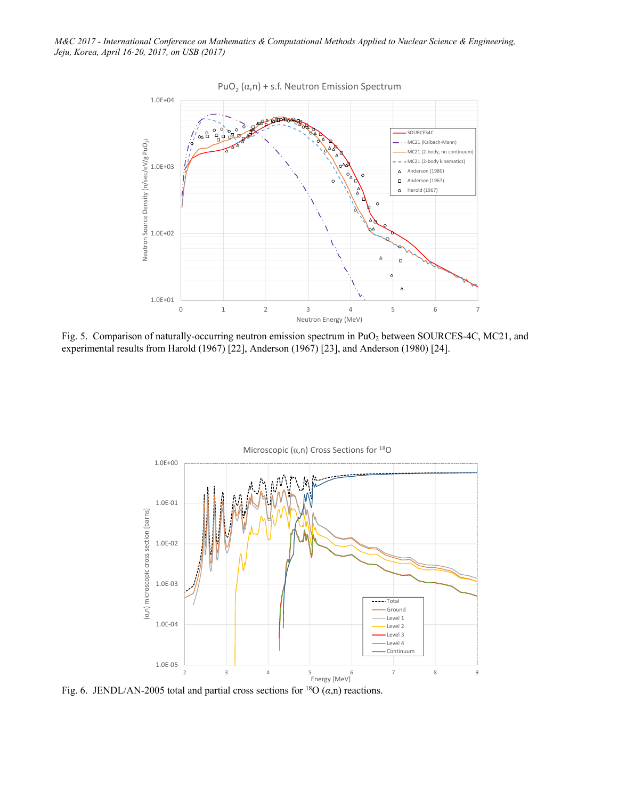

Fig. 5. Comparison of naturally-occurring neutron emission spectrum in PuO<sub>2</sub> between SOURCES-4C, MC21, and experimental results from Harold (1967) [22], Anderson (1967) [23], and Anderson (1980) [24].



Fig. 6. JENDL/AN-2005 total and partial cross sections for <sup>18</sup>O  $(\alpha, n)$  reactions.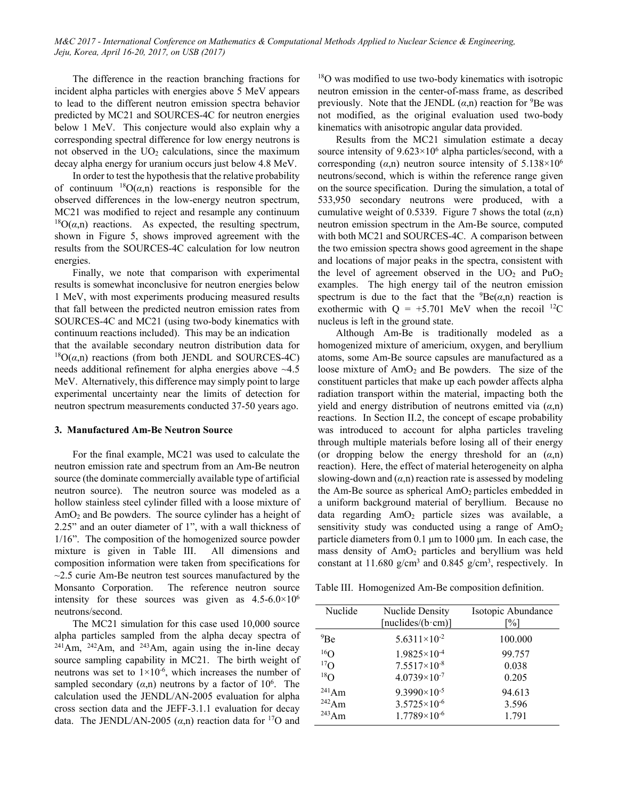The difference in the reaction branching fractions for incident alpha particles with energies above 5 MeV appears to lead to the different neutron emission spectra behavior predicted by MC21 and SOURCES-4C for neutron energies below 1 MeV. This conjecture would also explain why a corresponding spectral difference for low energy neutrons is not observed in the  $UO<sub>2</sub>$  calculations, since the maximum decay alpha energy for uranium occurs just below 4.8 MeV.

In order to test the hypothesis that the relative probability of continuum  ${}^{18}O(\alpha,n)$  reactions is responsible for the observed differences in the low-energy neutron spectrum, MC21 was modified to reject and resample any continuum  $^{18}O(\alpha,n)$  reactions. As expected, the resulting spectrum, shown in Figure 5, shows improved agreement with the results from the SOURCES-4C calculation for low neutron energies.

Finally, we note that comparison with experimental results is somewhat inconclusive for neutron energies below 1 MeV, with most experiments producing measured results that fall between the predicted neutron emission rates from SOURCES-4C and MC21 (using two-body kinematics with continuum reactions included). This may be an indication that the available secondary neutron distribution data for  $^{18}O(\alpha,n)$  reactions (from both JENDL and SOURCES-4C) needs additional refinement for alpha energies above ~4.5 MeV. Alternatively, this difference may simply point to large experimental uncertainty near the limits of detection for neutron spectrum measurements conducted 37-50 years ago.

#### **3. Manufactured Am-Be Neutron Source**

For the final example, MC21 was used to calculate the neutron emission rate and spectrum from an Am-Be neutron source (the dominate commercially available type of artificial neutron source). The neutron source was modeled as a hollow stainless steel cylinder filled with a loose mixture of AmO2 and Be powders. The source cylinder has a height of 2.25" and an outer diameter of 1", with a wall thickness of 1/16". The composition of the homogenized source powder mixture is given in Table III. All dimensions and composition information were taken from specifications for  $\sim$ 2.5 curie Am-Be neutron test sources manufactured by the Monsanto Corporation. The reference neutron source intensity for these sources was given as  $4.5-6.0\times10^{6}$ neutrons/second.

The MC21 simulation for this case used 10,000 source alpha particles sampled from the alpha decay spectra of  $241$ Am,  $242$ Am, and  $243$ Am, again using the in-line decay source sampling capability in MC21. The birth weight of neutrons was set to  $1 \times 10^{-6}$ , which increases the number of sampled secondary  $(\alpha, n)$  neutrons by a factor of 10<sup>6</sup>. The calculation used the JENDL/AN-2005 evaluation for alpha cross section data and the JEFF-3.1.1 evaluation for decay data. The JENDL/AN-2005  $(\alpha, n)$  reaction data for <sup>17</sup>O and

<sup>18</sup>O was modified to use two-body kinematics with isotropic neutron emission in the center-of-mass frame, as described previously. Note that the JENDL  $(\alpha, n)$  reaction for <sup>9</sup>Be was not modified, as the original evaluation used two-body kinematics with anisotropic angular data provided.

Results from the MC21 simulation estimate a decay source intensity of  $9.623 \times 10^6$  alpha particles/second, with a corresponding  $(\alpha, n)$  neutron source intensity of 5.138×10<sup>6</sup> neutrons/second, which is within the reference range given on the source specification. During the simulation, a total of 533,950 secondary neutrons were produced, with a cumulative weight of 0.5339. Figure 7 shows the total  $(\alpha, n)$ neutron emission spectrum in the Am-Be source, computed with both MC21 and SOURCES-4C. A comparison between the two emission spectra shows good agreement in the shape and locations of major peaks in the spectra, consistent with the level of agreement observed in the  $UO_2$  and  $PuO_2$ examples. The high energy tail of the neutron emission spectrum is due to the fact that the  ${}^{9}Be(\alpha,n)$  reaction is exothermic with  $Q = +5.701$  MeV when the recoil <sup>12</sup>C nucleus is left in the ground state.

Although Am-Be is traditionally modeled as a homogenized mixture of americium, oxygen, and beryllium atoms, some Am-Be source capsules are manufactured as a loose mixture of  $AmO<sub>2</sub>$  and Be powders. The size of the constituent particles that make up each powder affects alpha radiation transport within the material, impacting both the yield and energy distribution of neutrons emitted via (*α*,n) reactions. In Section II.2, the concept of escape probability was introduced to account for alpha particles traveling through multiple materials before losing all of their energy (or dropping below the energy threshold for an (*α*,n) reaction). Here, the effect of material heterogeneity on alpha slowing-down and  $(a,n)$  reaction rate is assessed by modeling the Am-Be source as spherical AmO<sub>2</sub> particles embedded in a uniform background material of beryllium. Because no data regarding AmO2 particle sizes was available, a sensitivity study was conducted using a range of AmO<sub>2</sub> particle diameters from 0.1 μm to 1000 μm. In each case, the mass density of AmO<sub>2</sub> particles and beryllium was held constant at 11.680  $g/cm<sup>3</sup>$  and 0.845  $g/cm<sup>3</sup>$ , respectively. In

Table III. Homogenized Am-Be composition definition.

| Nuclide     | <b>Nuclide Density</b>      | Isotopic Abundance |
|-------------|-----------------------------|--------------------|
|             | [nuclides/ $(b \cdot cm)$ ] | $\lceil\% \rceil$  |
| $^{9}$ Be   | $5.6311\times10^{-2}$       | 100.000            |
| $^{16}$ O   | $1.9825 \times 10^{-4}$     | 99.757             |
| $^{17}$ O   | $7.5517\times10^{-8}$       | 0.038              |
| $^{18}$ O   | $4.0739\times10^{-7}$       | 0.205              |
| $^{241}Am$  | $9.3990\times10^{-5}$       | 94.613             |
| $^{242}$ Am | $3.5725\times10^{-6}$       | 3.596              |
| $243$ Am    | $1.7789\times10^{6}$        | 1.791              |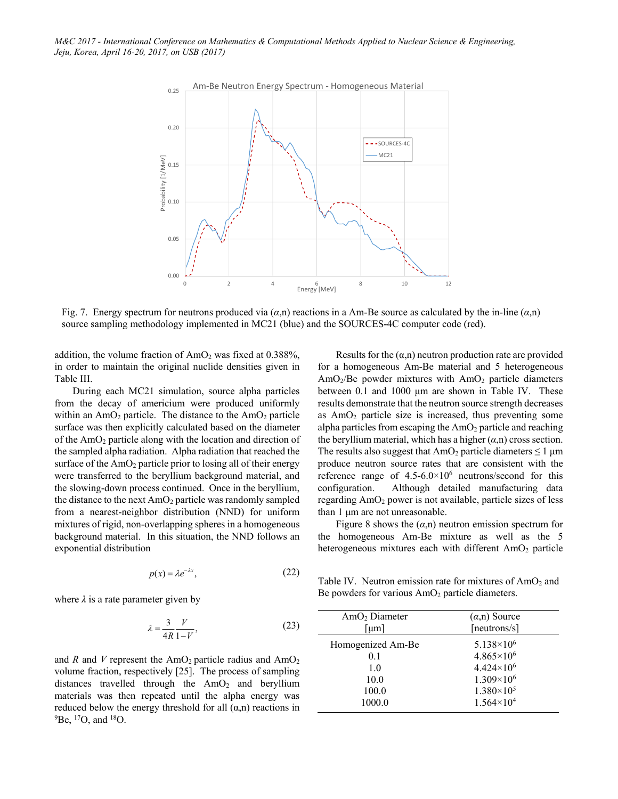

Fig. 7. Energy spectrum for neutrons produced via  $(\alpha, n)$  reactions in a Am-Be source as calculated by the in-line  $(\alpha, n)$ source sampling methodology implemented in MC21 (blue) and the SOURCES-4C computer code (red).

addition, the volume fraction of  $AmO<sub>2</sub>$  was fixed at 0.388%, in order to maintain the original nuclide densities given in Table III.

During each MC21 simulation, source alpha particles from the decay of americium were produced uniformly within an  $AmO<sub>2</sub>$  particle. The distance to the  $AmO<sub>2</sub>$  particle surface was then explicitly calculated based on the diameter of the AmO2 particle along with the location and direction of the sampled alpha radiation. Alpha radiation that reached the surface of the  $AmO<sub>2</sub>$  particle prior to losing all of their energy were transferred to the beryllium background material, and the slowing-down process continued. Once in the beryllium, the distance to the next  $AmO<sub>2</sub>$  particle was randomly sampled from a nearest-neighbor distribution (NND) for uniform mixtures of rigid, non-overlapping spheres in a homogeneous background material. In this situation, the NND follows an exponential distribution

$$
p(x) = \lambda e^{-\lambda x},\tag{22}
$$

where  $\lambda$  is a rate parameter given by

$$
\lambda = \frac{3}{4R} \frac{V}{1 - V},\tag{23}
$$

and  $R$  and  $V$  represent the  $AmO<sub>2</sub>$  particle radius and  $AmO<sub>2</sub>$ volume fraction, respectively [25]. The process of sampling distances travelled through the  $AmO<sub>2</sub>$  and beryllium materials was then repeated until the alpha energy was reduced below the energy threshold for all  $(\alpha, n)$  reactions in  ${}^{9}$ Be,  ${}^{17}$ O, and  ${}^{18}$ O.

Results for the  $(\alpha, n)$  neutron production rate are provided for a homogeneous Am-Be material and 5 heterogeneous  $AmO<sub>2</sub>/Be$  powder mixtures with  $AmO<sub>2</sub>$  particle diameters between 0.1 and 1000 μm are shown in Table IV. These results demonstrate that the neutron source strength decreases as  $AmO<sub>2</sub>$  particle size is increased, thus preventing some alpha particles from escaping the  $AmO<sub>2</sub>$  particle and reaching the beryllium material, which has a higher  $(\alpha, n)$  cross section. The results also suggest that  $AmO<sub>2</sub>$  particle diameters  $\leq 1$  µm produce neutron source rates that are consistent with the reference range of  $4.5 - 6.0 \times 10^6$  neutrons/second for this configuration. Although detailed manufacturing data regarding AmO<sub>2</sub> power is not available, particle sizes of less than 1 μm are not unreasonable.

Figure 8 shows the  $(a,n)$  neutron emission spectrum for the homogeneous Am-Be mixture as well as the 5 heterogeneous mixtures each with different  $AmO<sub>2</sub>$  particle

Table IV. Neutron emission rate for mixtures of  $AmO<sub>2</sub>$  and Be powders for various  $AmO<sub>2</sub>$  particle diameters.

| AmO <sub>2</sub> Diameter | $(\alpha, n)$ Source  |
|---------------------------|-----------------------|
| [µm]                      | [neutrons/s]          |
| Homogenized Am-Be         | $5.138 \times 10^{6}$ |
| 0.1                       | $4.865\times10^{6}$   |
| 1.0                       | $4.424 \times 10^{6}$ |
| 10.0                      | $1.309\times10^{6}$   |
| 100.0                     | $1.380\times10^{5}$   |
| 1000.0                    | $1.564 \times 10^{4}$ |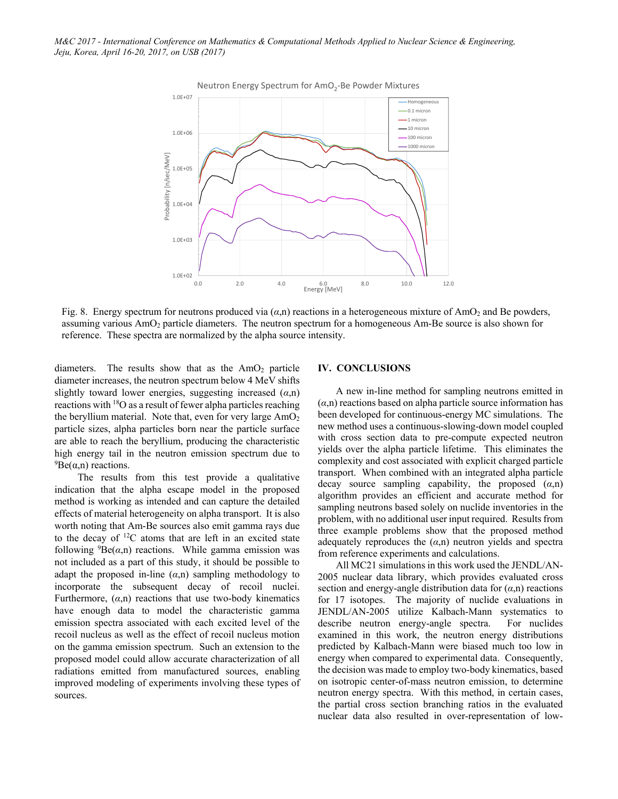

Neutron Energy Spectrum for AmO<sub>2</sub>-Be Powder Mixtures

Fig. 8. Energy spectrum for neutrons produced via  $(\alpha,n)$  reactions in a heterogeneous mixture of AmO<sub>2</sub> and Be powders, assuming various AmO2 particle diameters. The neutron spectrum for a homogeneous Am-Be source is also shown for reference. These spectra are normalized by the alpha source intensity.

diameters. The results show that as the  $AmO<sub>2</sub>$  particle diameter increases, the neutron spectrum below 4 MeV shifts slightly toward lower energies, suggesting increased (*α*,n) reactions with  $18$ O as a result of fewer alpha particles reaching the beryllium material. Note that, even for very large  $AmO<sub>2</sub>$ particle sizes, alpha particles born near the particle surface are able to reach the beryllium, producing the characteristic high energy tail in the neutron emission spectrum due to  ${}^{9}Be(\alpha,n)$  reactions.

 The results from this test provide a qualitative indication that the alpha escape model in the proposed method is working as intended and can capture the detailed effects of material heterogeneity on alpha transport. It is also worth noting that Am-Be sources also emit gamma rays due to the decay of  ${}^{12}C$  atoms that are left in an excited state following  ${}^{9}Be(\alpha,n)$  reactions. While gamma emission was not included as a part of this study, it should be possible to adapt the proposed in-line  $(\alpha, n)$  sampling methodology to incorporate the subsequent decay of recoil nuclei. Furthermore,  $(\alpha, n)$  reactions that use two-body kinematics have enough data to model the characteristic gamma emission spectra associated with each excited level of the recoil nucleus as well as the effect of recoil nucleus motion on the gamma emission spectrum. Such an extension to the proposed model could allow accurate characterization of all radiations emitted from manufactured sources, enabling improved modeling of experiments involving these types of sources.

## **IV. CONCLUSIONS**

A new in-line method for sampling neutrons emitted in  $(\alpha, n)$  reactions based on alpha particle source information has been developed for continuous-energy MC simulations. The new method uses a continuous-slowing-down model coupled with cross section data to pre-compute expected neutron yields over the alpha particle lifetime. This eliminates the complexity and cost associated with explicit charged particle transport. When combined with an integrated alpha particle decay source sampling capability, the proposed (*α*,n) algorithm provides an efficient and accurate method for sampling neutrons based solely on nuclide inventories in the problem, with no additional user input required. Results from three example problems show that the proposed method adequately reproduces the  $(a,n)$  neutron yields and spectra from reference experiments and calculations.

All MC21 simulations in this work used the JENDL/AN-2005 nuclear data library, which provides evaluated cross section and energy-angle distribution data for  $(\alpha, n)$  reactions for 17 isotopes. The majority of nuclide evaluations in JENDL/AN-2005 utilize Kalbach-Mann systematics to describe neutron energy-angle spectra. For nuclides examined in this work, the neutron energy distributions predicted by Kalbach-Mann were biased much too low in energy when compared to experimental data. Consequently, the decision was made to employ two-body kinematics, based on isotropic center-of-mass neutron emission, to determine neutron energy spectra. With this method, in certain cases, the partial cross section branching ratios in the evaluated nuclear data also resulted in over-representation of low-